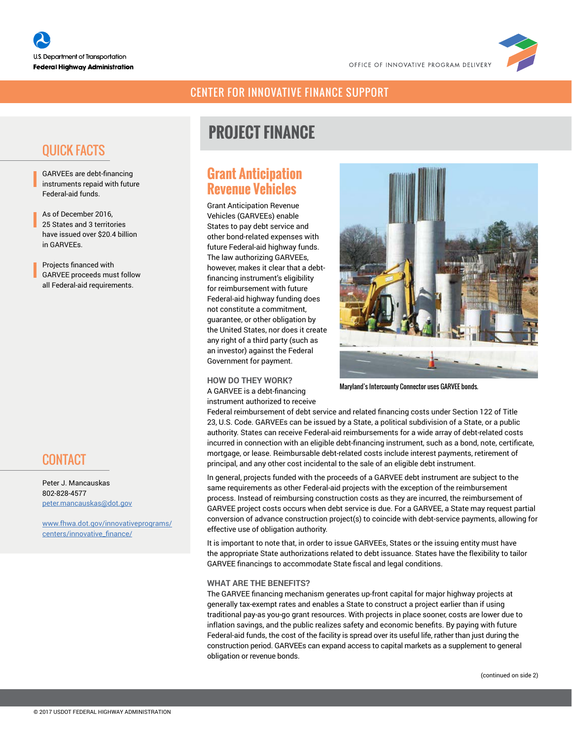

### CENTER FOR INNOVATIVE FINANCE SUPPORT

# QUICK FACTS

GARVEEs are debt-financing instruments repaid with future Federal-aid funds.

As of December 2016, 25 States and 3 territories have issued over \$20.4 billion in GARVEEs.

Projects financed with GARVEE proceeds must follow all Federal-aid requirements.

## **CONTACT**

Peter J. Mancauskas 802-828-4577 [peter.mancauskas@dot.gov](mailto:peter.mancauskas%40dot.gov?subject=)

[www.fhwa.dot.gov/innovativeprograms/](https://www.fhwa.dot.gov/innovativeprograms/centers/innovative_finance/) [centers/innovative\\_finance/](https://www.fhwa.dot.gov/innovativeprograms/centers/innovative_finance/)

# **PROJECT FINANCE**

### **Grant Anticipation Revenue Vehicles**

Grant Anticipation Revenue Vehicles (GARVEEs) enable States to pay debt service and other bond-related expenses with future Federal-aid highway funds. The law authorizing GARVEEs, however, makes it clear that a debtfinancing instrument's eligibility for reimbursement with future Federal-aid highway funding does not constitute a commitment, guarantee, or other obligation by the United States, nor does it create any right of a third party (such as an investor) against the Federal Government for payment.

#### **HOW DO THEY WORK?**

A GARVEE is a debt-financing instrument authorized to receive



Maryland's Intercounty Connector uses GARVEE bonds.

Federal reimbursement of debt service and related financing costs under Section 122 of Title 23, U.S. Code. GARVEEs can be issued by a State, a political subdivision of a State, or a public authority. States can receive Federal-aid reimbursements for a wide array of debt-related costs incurred in connection with an eligible debt-financing instrument, such as a bond, note, certificate, mortgage, or lease. Reimbursable debt-related costs include interest payments, retirement of principal, and any other cost incidental to the sale of an eligible debt instrument.

In general, projects funded with the proceeds of a GARVEE debt instrument are subject to the same requirements as other Federal-aid projects with the exception of the reimbursement process. Instead of reimbursing construction costs as they are incurred, the reimbursement of GARVEE project costs occurs when debt service is due. For a GARVEE, a State may request partial conversion of advance construction project(s) to coincide with debt-service payments, allowing for effective use of obligation authority.

It is important to note that, in order to issue GARVEEs, States or the issuing entity must have the appropriate State authorizations related to debt issuance. States have the flexibility to tailor GARVEE financings to accommodate State fiscal and legal conditions.

#### **WHAT ARE THE BENEFITS?**

The GARVEE financing mechanism generates up-front capital for major highway projects at generally tax-exempt rates and enables a State to construct a project earlier than if using traditional pay-as you-go grant resources. With projects in place sooner, costs are lower due to inflation savings, and the public realizes safety and economic benefits. By paying with future Federal-aid funds, the cost of the facility is spread over its useful life, rather than just during the construction period. GARVEEs can expand access to capital markets as a supplement to general obligation or revenue bonds.